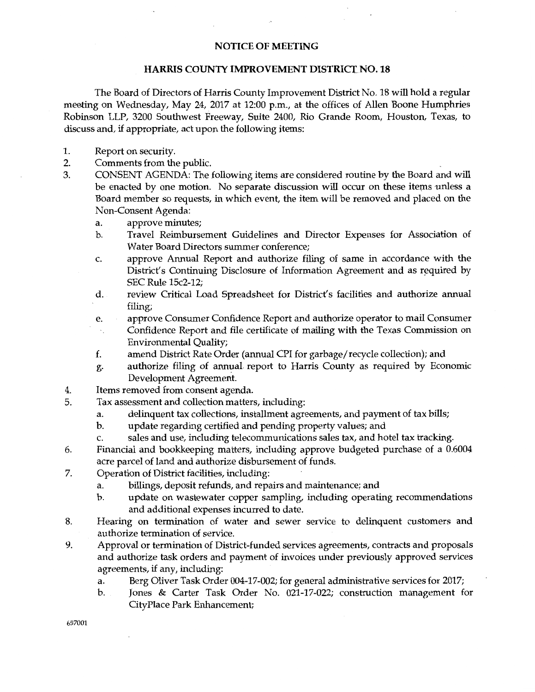## NOTICE OF MEETING

## HARRIS COUNTY IMPROVEMENT DISTRICT NO. 18

The Board of Directors of Harris County Improvement District No. 18 will hold a regular meeting on Wednesday, May 24, 2017 at 12:00 p.m., at the offices of Allen Boone Humphries Robinson LLP, 3200 Southwest Freeway, Suite 2400, Rio Grande Room, Houston, Texas, to discuss and, if appropriate, act upon the following items:

- 1. Report on security.
- 2. Comments from the public.
- 3. CONSENT AGENDA: The following items are considered routine by the Board and will be enacted by one motion. No separate discussion will occur on these items unless a Board member so requests, in which event, the item will be removed and placed on the Non-Consent Agenda:
	- a. approve minutes;
	- b. Travel Reimbursement Guidelines and Director Expenses for Association of Water Board Directors summer conference;
	- c. approve Annual Report and authorize filing of same in accordance with the District's Continuing Disclosure of Information Agreement and as required by SEC Rule 15c2-12;
	- d. review Critical Load Spreadsheet for District's facilities and authorize annual filing;
	- e. approve Consumer Confidence Report and authorize operator to mail Consumer
	- Confidence Report and file certificate of mailing with the Texas Commission on Environmental Quality;
	- f. amend District Rate Order (annual CPI for garbage/recycle collection); and
	- g. authorize filing of annual. report to Harris County as required by Economic Development Agreement.
- 4. Items removed from consent agenda.
- 5. Tax assessment and collection matters, including:
	- a. delinquent tax collections, installment agreements, and payment of tax bills;
	- b. update regarding certified and pending property values; and
	- c. sales and use, including telecommunications sales tax, and hotel tax tracking.
- 6. Financial and bookkeeping matters, including approve budgeted purchase of a 0.6004 acre parcel of land and authorize disbursement of funds.
- 7. Operation of District facilities, including:
	- a. billings, deposit refunds, and repairs and maintenance; and
	- b. update on wastewater copper sampling, including operating recommendations and additional expenses incurred to date.
- 8. Hearing on termination of water and sewer service to delinquent customers and authorize termination of service.
- 9. Approval or termination of District-funded services agreements, contracts and proposals and authorize task orders and payment of invoices under previously approved services agreements, if any, including:
	- a. Berg Oliver Task Order 004-17-002; for general administrative services for 2017;
	- b. Jones & Carter Task Order No. 021-17-022; construction management for CityPlace Park Enhancement;

657001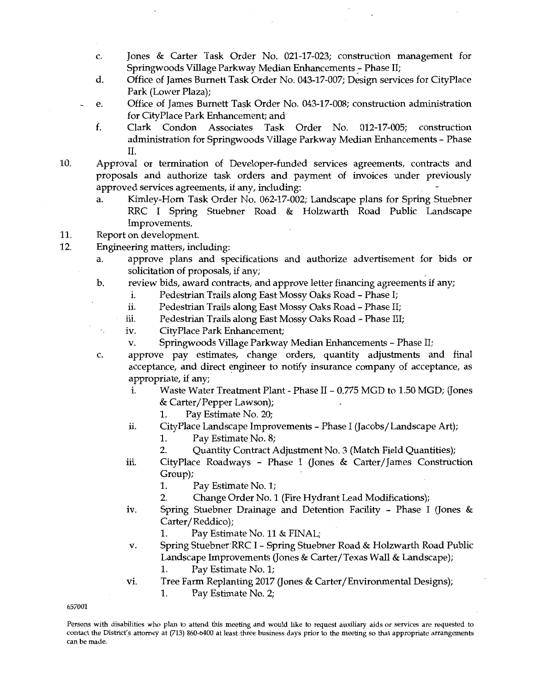- c. Jones & Carter Task Order No. 021-17-023; construction management for Springwoods Village Parkway Median Enhancements - Phase II;
- d. Office of James Burnett Task Order No. 043-17-007; Design services for CityPlace Park (Lower Plaza);
- e. Office of James Burnett Task Order No. 043-17-008; construction administration for CityPlace Park Enhancement; and
	- f. Clark Condon Associates Task Order No. 012-17-005; construction administration for Springwoods Village Parkway Median Enhancements - Phase II.
- 10. Approval or termination of Developer-funded services agreements, contracts and proposals and authorize task orders and payment of invoices under previously approved services agreements, if any, including:
	- a. Kimley-Horn Task Order No. 062-17-002; Landscape plans for Spring Stuebner RRC I Spring Stuebner Road & Holzwarth Road Public Landscape Improvements.
- 11. Report on development.
- 12. Engineering matters, including:
	- a. approve plans and specifications and authorize advertisement for bids or solicitation of proposals, if any;
	- b. review bids, award contracts, and approve letter financing agreements if any;
		- i. Pedestrian Trails along East Mossy Oaks Road Phase I;
		- ii. Pedestrian Trails along East Mossy Oaks Road Phase II;
		- iii. Pedestrian Trails along East Mossy Oaks Road Phase III;
		- iv. CityPlace Park Enhancement;
		- v. Springwoods Village Parkway Median Enhancements Phase II;
	- c. approve pay estimates, change orders, quantity adjustments and final acceptance, and direct engineer to notify insurance company of acceptance, as appropriate, if any;
		- i. Waste Water Treatment Plant Phase II 0.775 MGD to 1.50 MGD; (Jones & Carter/Pepper Lawson);
			- 1. Pay Estimate No. 20;
		- ii. CityPlace Landscape Improvements Phase I (Jacobs/Landscape Art);
			- 1. Pay Estimate No. 8;
			- 2. Quantity Contract Adjustment No. 3 (Match Field Quantities);
		- iii. CityPlace Roadways Phase I (Jones & Carter/James Construction Group);
			- 1. Pay Estimate No. 1;
			- 2. Change Order No. 1 (Fire Hydrant Lead Modifications);
		- iv. Spring Stuebner Drainage and Detention Facility Phase I (Jones & Carter/Reddico);
			- 1. Pay Estimate No. 11 & FINAL;
		- v. Spring Stuebner RRC I Spring Stuebner Road & Holzwarth Road Public Landscape Improvements (Jones & Carter/Texas Wall & Landscape);
			- 1. Pay Estimate No. 1;
		- vi. Tree Farm Replanting 2017 (Jones & Carter/Environmental Designs);
			- 1. Pay Estimate No. 2;

657001

Persons with disabilities who plan to attend this meeting and would like to request auxiliary aids or services are requested to contact the District's attorney at (713) 860-6400 at least three business days prior to the meeting so that appropriate arrangements can be made.